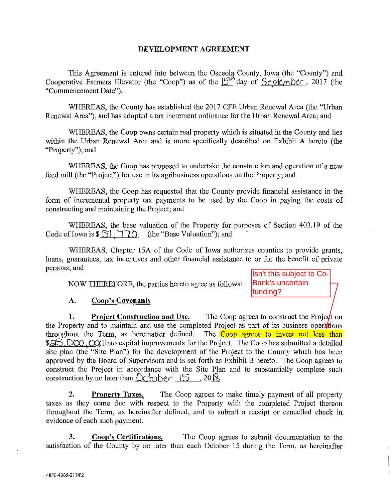### DEVELOPMENT AGREEMENT

This Agreement is entered into between the Osceola County, Iowa (the "County") and Cooperative Farmers Elevator (the "Coop") as of the  $15<sup>th</sup>$  day of  $Se^{-}$ *k<sub>m</sub> ber*, 2017 (the "Commencement Date").

WHEREAS, the County has established the 2017 CFE Urban Renewal Area (the "Urban Renewal Area"), and has adopted a tax increment ordinance for the Urban Renewal Area; and

WHEREAS, the Coop owns certain real property which is situated in the County and lies within the Urban Renewal Area and is more specifically described on Exhibit A hereto (the "Property"); and

WHEREAS, the Coop has proposed to undertake the construction and operation of a new feed mill (the "Project") for use in its agribusiness operations on the Property; and

WHEREAS, the Coop has requested that the County provide financial assistance in the form of incremental property tax payments to be used by the Coop in paying the costs of constructing and maintaining the Project; and

WHEREAS, the base valuation of the Property for purposes of Section 403.19 of the Code of Iowa is  $\$$   $\exists$  |  $\exists$   $\exists$  (the "Base Valuation"); and

WHEREAS, Chapter 15A of the Code of Iowa authorizes counties to provide grants, loans, guarantees, tax incentives and other financial assistance to or for the benefit of private persons; and

NOW THEREFORE, the parties hereto agree as follows:

Isn't this subject to Co-Bank's uncertain funding?

## A. Coop's Covenants

1. Project Construction and Use. The Coop agrees to construct the Project on the Property and to maintain and use the completed Project as part of its business operations throughout the Term, as hereinafter defined. The Coop agrees to invest not less than throughout the Term, as hereinafter defined. \$25,000, OQc)into capital improvements for the Project. The Coop has submitted a detailed site plan (the "Site Plan") for the development of the Project to the County which has been approved by the Board of Supervisors and is set forth as Exhibit B hereto. The Coop agrees to construct the Project in accordance with the Site Plan and to substantially complete such construction by no later than  $Octot$   $\sim$  15, 20  $\%$ 

2. Property Taxes. The Coop agrees to make timely payment of all property taxes as they come due with respect to the Property with the completed Project thereon throughout the Term, as hereinafter defined, and to submit a receipt or cancelled check in evidence of each such payment.

3. Coop's Certifications. The Coop agrees to submit documentation to the satisfaction of the County by no later than each October 15 during the Term, as hereinafter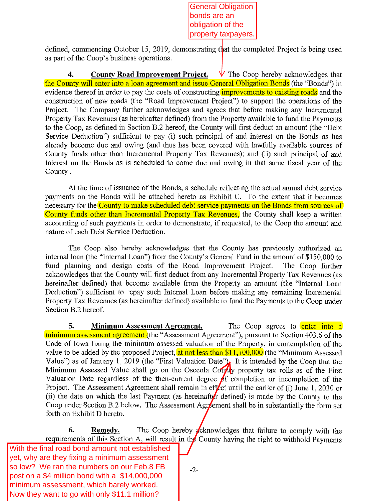General Obligation bonds are an obligation of the property taxpayers.

defined, connnencing October 15, 2019, demonstrating that the completed Project is being used as part of the Coop's business operations.

**4.** County Road Improvement Project.  $V$  The Coop hereby acknowledges that the County will enter into a loan agreement and issue General Obligation Bonds (the "Bonds") in evidence thereof in order to pay the costs of constructing *improvements* to existing roads and the construction of new roads (the "Road Improvement Project") to support the operations of the Project. The Company further acknowledges and agrees that before making any Incremental Property Tax Revenues (as hereinafter defined) from the Property available to fund the Payments to the Coop, as defined in Section B.2 hereof, the County will first deduct an amount (the "Debt Service Deduction") sufficient to pay (i) such principal of and interest on the Bonds as has already become due and owing (and thus has been covered with lawfully available sources of County funds other than Incremental Property Tax Revenues); and (ii) such principal of and interest on the Bonds as is scheduled to come due and owing in that same fiscal year of the County.

At the time of issuance of the Bonds, a schedule reflecting the actual annual debt service payments on the Bonds will be attached hereto as Exhibit C. To the extent that it becomes necessary for the County to make scheduled debt service payments on the Bonds from sources of County funds other than Incremental Property Tax Revenues, the County shall keep a written accounting of such payments in order to demonstrate, if requested, to the Coop the amount and nature of each Debt Service Deduction.

The Coop also hereby acknowledges that the County has previously authorized an internal loan (the "Internal Loan") from the County's General Fund in the amount of \$150,000 to fund planning and design costs of the Road Improvement Project. The Coop further acknowledges that the County will first deduct from any Incremental Property Tax Revenues (as hereinafter defined) that become available from the Property an amount (the "Internal Loan Deduction") sufficient to repay such Internal Loan before making any remaining Incremental Property Tax Revenues (as hereinafter defined) available to fund the Payments to the Coop under Section B.2 hereof.

**5.** Minimum Assessment Agreement. The Coop agrees to enter into a minimum assessment agreement (the "Assessment Agreement"), pursuant to Section 403.6 of the Code of Iowa fixing the minimum assessed valuation of the Property, in contemplation of the value to be added by the proposed Project, at not less than \$11,100,000 (the "Minimum Assessed Value") as of January 1, 2019 (the "First Valuation Date"). It is intended by the Coop that the Minimum Assessed Value shall go on the Osceola County property tax rolls as of the First Valuation Date regardless of the then-current degree of completion or incompletion of the Project. The Assessment Agreement shall remain in effect until the earlier of (i) June 1, 2030 or (ii) the date on which the last Payment (as hereinafter defined) is made by the County to the Coop under Section B.2 below. The Assessment Agreement shall be in substantially the form set forth on Exhibit D hereto.

**6.** Remedy. The Coop hereby cknowledges that failure to comply with the requirements of this Section A, will result in the County having the right to withhold Payments

post on a \$4 million bond with a \$14,000,000 With the final road bond amount not established yet, why are they fixing a minimum assessment so low? We ran the numbers on our Feb.8 FB minimum assessment, which barely worked. Now they want to go with only \$11.1 million?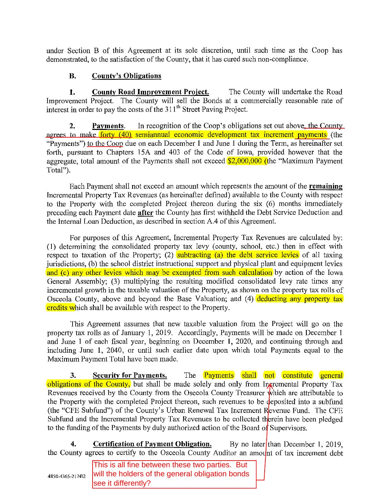under Section B of this Agreement at its sole discretion, until such time as the Coop has demonstrated, to the satisfaction of the County, that it has cured such non-compliance.

# **B. County's Obligations**

**1. County Road Improvement Project.** The County will undertake the Road Improvement Project. The County will sell the Bonds at a commercially reasonable rate of interest in order to pay the costs of the  $311<sup>th</sup>$  Street Paving Project.

**2.** Payments. In recognition of the Coop's obligations set out above, the County agrees to make forty (40) semiannual economic development tax increment payments (the "Payments") to the Coop due on each December 1 and June 1 during the Term, as hereinafter set forth, pursuant to Chapters 15A and 403 of the Code of Iowa, provided however that the aggregate, total amount of the Payments shall not exceed  $$2,000,000$  (the "Maximum Payment") Total").

Each Payment shall not exceed an amount which represents the amount of the **remaining**  Incremental Properiy Tax Revenues (as hereinafter defined) available to the County with respect to the Properiy with the completed Project thereon during the six (6) months immediately preceding each Payment date **after** the County has first withheld the Debt Service Deduction and the Internal Loan Deduction, as described in section A.4 of this Agreement.

For purposes of this Agreement, Incremental Properiy Tax Revenues are calculated by: (1) determining the consolidated property tax levy (county, school, etc.) then in effect with respect to taxation of the Property; (2) subtracting (a) the debt service levies of all taxing jurisdictions, (b) the school district instructional support and physical plant and equipment levies and (c) any other levies which may be exempted from such calculation by action of the Iowa General Assembly; (3) multiplying the resulting modified consolidated levy rate times any incremental growth in the taxable valuation of the Property, as shown on the property tax rolls of Osceola County, above and beyond the Base Valuation; and (4) deducting any property tax credits which shall be available with respect to the Property.

This Agreement asswnes that new taxable valuation from the Project will go on the property tax rolls as of January 1, 2019. Accordingly, Payments will be made on December I and June 1 of each fiscal year, beginning on December I, 2020, and continuing through and including June 1, 2040, or until such earlier date upon which total Payments equal to the Maximwn Payment Total have been made.

**3.** Security for Payments. The Payments shall not constitute general obligations of the County, but shall be made solely and only from Ingremental Property Tax Revenues received by the County from the Osceola County Treasurer which are attributable to the Property with the completed Project thereon, such revenues to be deposited into a subfund (the "CFE Subfund") of the County's Urban Renewal Tax Increment Revenue Fund. The CFE Subfimd and the Incremental Property Tax Revenues to be collected therein have been pledged to the funding of the Payments by duly authorized action of the Board of Supervisors.

**4.** Certification of Payment Obligation. By no later than December 1, 2019, the County agrees to certify to the Osceola County Auditor an amount of tax increment debt

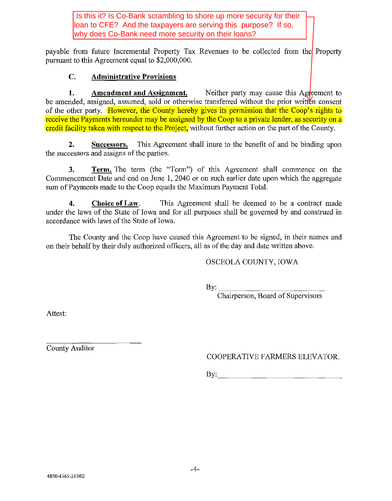Is this it? Is Co-Bank scrambling to shore up more security for their loan to CFE? And the taxpayers are serving this purpose? If so, why does Co-Bank need more security on their loans?

payable from future Incremental Property Tax Revenues to be collected from the Property pursuant to this Agreement equal to \$2,000,000.

## **C. Administrative Provisions**

**1.** Amendment and Assignment. Neither party may cause this Agreement to be amended, assigned, assumed, sold or otherwise transferred without the prior written consent of the other party. However, the County hereby gives its permission that the Coop's rights to receive the Payments hereunder may be assigned by the Coop to a private lender, as security on a credit facility taken with respect to the Project, without further action on the part of the County.

**2. Successors.** This Agreement shall inure to the benefit of and be binding upon the successors and assigns of the parties.

**3. Term.** The term (the "Term") of this Agreement shall commence on the Commencement Date and end on June 1, 2040 or on such earlier date upon which the aggregate sum of Payments made to the Coop equals the Maximum Payment Total.

**4. Choice of Law.** This Agreement shall be deemed to be a contract made under the laws of the State of Iowa and for all purposes shall be governed by and consttued in accordance with laws of the State of Iowa.

The County and the Coop have caused this Agreement to be signed, in their names and on their behalf by their duly authorized officers, all as of the day and date written above.

# OSCEOLA COUNTY, IOWA

By: \_\_\_\_\_\_\_\_\_\_\_\_ ~------- Chairperson, Board of Supervisors

Attest:

County Auditor

COOPERATIVE FARMERS ELEVATOR.

 $\mathbf{By:}$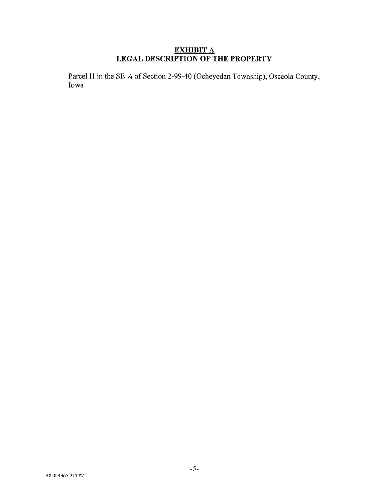## **EXHIBIT** A **LEGAL DESCRIPTION OF THE PROPERTY**

 $\hat{\mathcal{A}}$ 

Parcel H in the SE <sup>1</sup>/4 of Section 2-99-40 (Ocheyedan Township), Osceola County, Iowa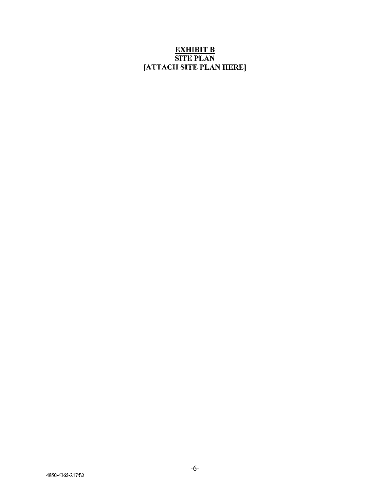## <u>EXHIBIT B</u> SITE PLAN [ATTACH SITE PLAN HERE]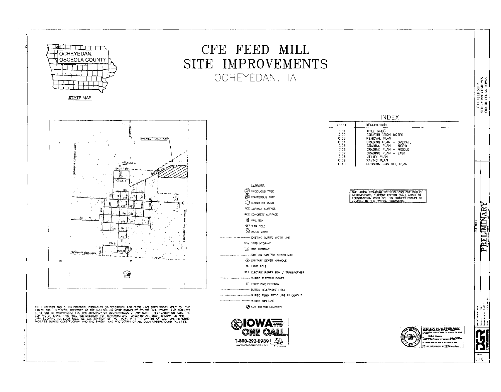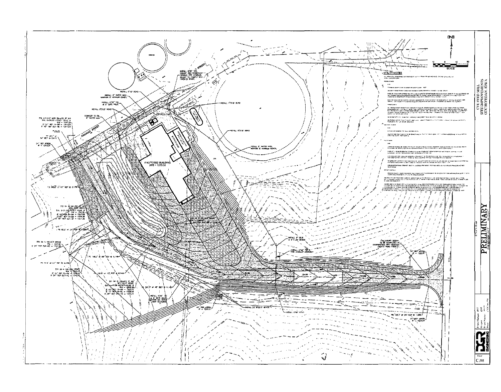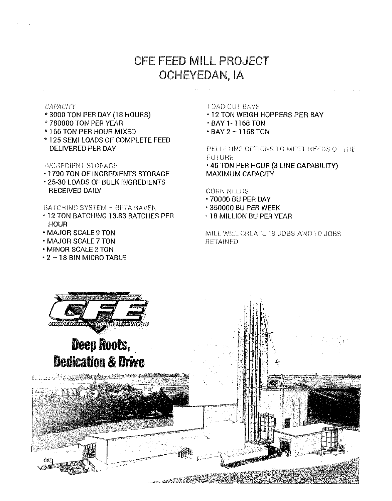# CFE FEED MILL PROJECT OCHEYEDAN, IA

#### CAPACITY

- \*3000 TON PER DAY (18 HOURS)
- \*780000 TON PER YEAR
- \*166 TON PER HOUR MIXED
- \*125 SEMI LOADS OF COMPLETE FEED DELIVERED PER DAY

### **INGREDIENT STORAGE**

- . 1790 TON OF INGREDIENTS STORAGE
- \* 25-30 LOADS OF BULK INGREDIENTS **RECEIVED DAILY**

### BATCHING SYSTEM - BETA BAVEN

- 12 TON BATCHING 13.83 BATCHES PER **HOUR**
- MAJOR SCALE 9 TON
- MAJOR SCALE 7 TON
- . MINOR SCALE 2 TON
- \* 2 18 BIN MICRO TABLE

### **LOAD-OUT BAYS**

- . 12 TON WEIGH HOPPERS PER BAY
- BAY 1-1168 TON
- BAY 2 1168 TON

PELLETING OPTIONS TO MEET NEEDS OF THE **FUTURE** 

. 45 TON PER HOUR (3 LINE CAPABILITY) **MAXIMUM CAPACITY** 

**CORN NEEDS** 

- **.70000 BU PER DAY**
- **.350000 BU PER WEEK**
- . 18 MILLION BU PER YEAR

WILL WILL CREATE 19 JOBS AND 10 JOBS **RETAINED** 

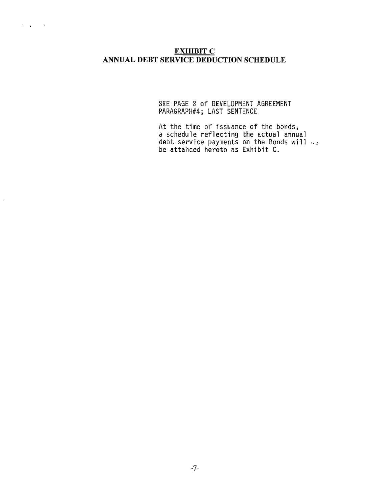$\hat{\mathcal{L}}$ 

## **EXHIBIT C** ANNUAL DEBT SERVICE DEDUCTION SCHEDULE

SEE PAGE 2 of DEVELOPMENT AGREEMENT PARAGRAPH#4; LAST SENTENCE

At the time of issuance of the bonds,<br>a schedule reflecting the actual annual<br>debt service payments on the Bonds will  $\omega_{\phi}$ <br>be attahced hereto as Exhibit C.